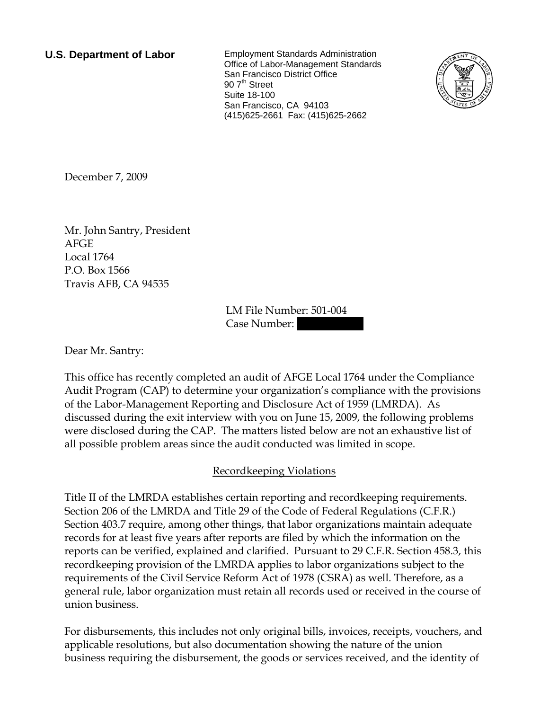**U.S. Department of Labor** Employment Standards Administration Office of Labor-Management Standards San Francisco District Office 90 7<sup>th</sup> Street Suite 18-100 San Francisco, CA 94103 (415)625-2661 Fax: (415)625-2662



December 7, 2009

Mr. John Santry, President AFGE Local 1764 P.O. Box 1566 Travis AFB, CA 94535

> LM File Number: 501-004 Case Number:

Dear Mr. Santry:

This office has recently completed an audit of AFGE Local 1764 under the Compliance Audit Program (CAP) to determine your organization's compliance with the provisions of the Labor-Management Reporting and Disclosure Act of 1959 (LMRDA). As discussed during the exit interview with you on June 15, 2009, the following problems were disclosed during the CAP. The matters listed below are not an exhaustive list of all possible problem areas since the audit conducted was limited in scope.

## Recordkeeping Violations

Title II of the LMRDA establishes certain reporting and recordkeeping requirements. Section 206 of the LMRDA and Title 29 of the Code of Federal Regulations (C.F.R.) Section 403.7 require, among other things, that labor organizations maintain adequate records for at least five years after reports are filed by which the information on the reports can be verified, explained and clarified. Pursuant to 29 C.F.R. Section 458.3, this recordkeeping provision of the LMRDA applies to labor organizations subject to the requirements of the Civil Service Reform Act of 1978 (CSRA) as well. Therefore, as a general rule, labor organization must retain all records used or received in the course of union business.

For disbursements, this includes not only original bills, invoices, receipts, vouchers, and applicable resolutions, but also documentation showing the nature of the union business requiring the disbursement, the goods or services received, and the identity of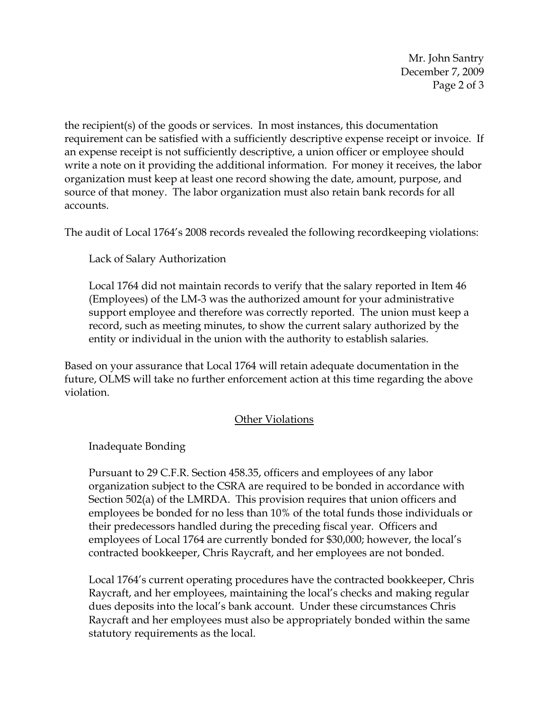Mr. John Santry December 7, 2009 Page 2 of 3

the recipient(s) of the goods or services. In most instances, this documentation requirement can be satisfied with a sufficiently descriptive expense receipt or invoice. If an expense receipt is not sufficiently descriptive, a union officer or employee should write a note on it providing the additional information. For money it receives, the labor organization must keep at least one record showing the date, amount, purpose, and source of that money. The labor organization must also retain bank records for all accounts.

The audit of Local 1764's 2008 records revealed the following recordkeeping violations:

Lack of Salary Authorization

Local 1764 did not maintain records to verify that the salary reported in Item 46 (Employees) of the LM-3 was the authorized amount for your administrative support employee and therefore was correctly reported. The union must keep a record, such as meeting minutes, to show the current salary authorized by the entity or individual in the union with the authority to establish salaries.

Based on your assurance that Local 1764 will retain adequate documentation in the future, OLMS will take no further enforcement action at this time regarding the above violation.

## Other Violations

Inadequate Bonding

Pursuant to 29 C.F.R. Section 458.35, officers and employees of any labor organization subject to the CSRA are required to be bonded in accordance with Section 502(a) of the LMRDA. This provision requires that union officers and employees be bonded for no less than 10% of the total funds those individuals or their predecessors handled during the preceding fiscal year. Officers and employees of Local 1764 are currently bonded for \$30,000; however, the local's contracted bookkeeper, Chris Raycraft, and her employees are not bonded.

Local 1764's current operating procedures have the contracted bookkeeper, Chris Raycraft, and her employees, maintaining the local's checks and making regular dues deposits into the local's bank account. Under these circumstances Chris Raycraft and her employees must also be appropriately bonded within the same statutory requirements as the local.